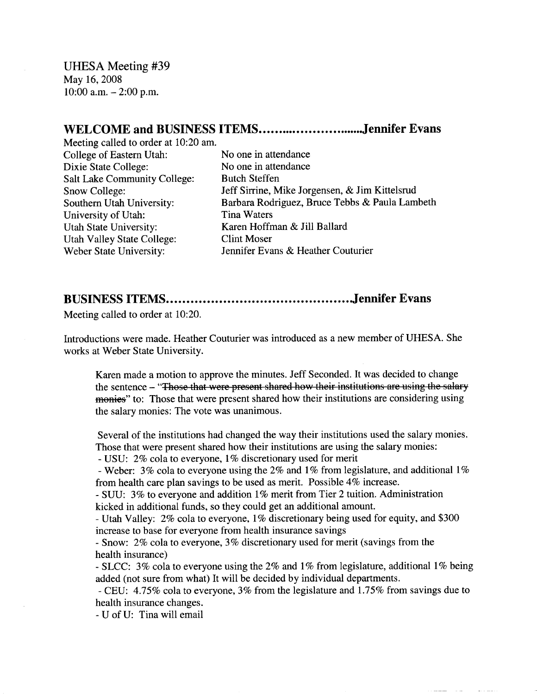UHESA Meeting #39 May 16, 2008  $10:00$  a.m.  $- 2:00$  p.m.

## WELCOME and BUSINESS ITEMS...............................Jennifer Evans

Meeting called to order at 10:20 am. College of Eastern Utah: No one in attendance Dixie State College: No one in attendance Salt Lake Community College: Butch Steffen University of Utah: Tina Waters Utah State University: Karen Hoffman & Jill Ballard Utah Valley State College: Clint Moser

Snow College: Jeff Sirrine, Mike Jorgensen, & Jim Kittelsrud Southern Utah University: Barbara Rodriguez, Bruce Tebbs & Paula Lambeth Weber State University: Jennifer Evans & Heather Couturier

## **BUSINESS ITEMS Jennifer Evans**

Meeting called to order at 10:20.

Introductions were made. Heather Couturier was introduced as a new member of UHESA. She works at Weber State University.

Karen made a motion to approve the minutes. Jeff Seconded. It was decided to change the sentence - "Those that were present shared how their institutions are using the salary monies" to: Those that were present shared how their institutions are considering using the salary monies: The vote was unanimous.

Several of the institutions had changed the way their institutions used the salary monies. Those that were present shared how their institutions are using the salary monies:

- USU: 2% cola to everyone, 1% discretionary used for merit

- Weber: 3% cola to everyone using the 2% and 1% from legislature, and additional 1% from health care plan savings to be used as merit. Possible 4% increase.

- SUU: 3% to everyone and addition 1% merit from Tier 2 tuition. Administration kicked in additional funds, so they could get an additional amount.

- Utah Valley: 2% cola to everyone, 1% discretionary being used for equity, and \$300 increase to base for everyone from health insurance savings

- Snow: 2% cola to everyone, 3% discretionary used for merit (savings from the health insurance)

- SLCC: 3% cola to everyone using the 2% and 1% from legislature, additional 1% being added (not sure from what) It will be decided by individual departments.

- CEU: 4.75% cola to everyone, 3% from the legislature and 1.75% from savings due to health insurance changes.

- U of U: Tina will email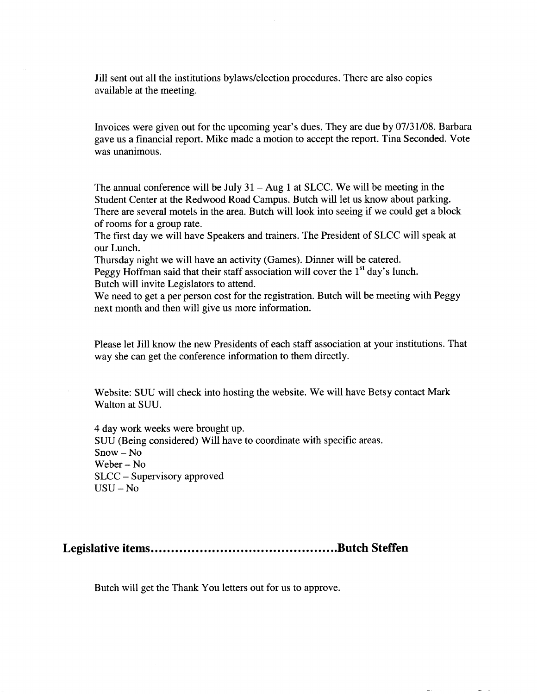Jill sent out all the institutions bylaws/election procedures. There are also copies available at the meeting.

Invoices were given out for the upcoming year's dues. They are due by 07/31/08. Barbara gave us a financial report. Mike made a motion to accept the report. Tina Seconded. Vote was unanimous.

The annual conference will be July  $31 - Aug 1$  at SLCC. We will be meeting in the Student Center at the Redwood Road Campus. Butch will let us know about parking. There are several motels in the area. Butch will look into seeing if we could get a block of rooms for a group rate.

The first day we will have Speakers and trainers. The President of SLCC will speak at our Lunch.

Thursday night we will have an activity (Games). Dinner will be catered.

Peggy Hoffman said that their staff association will cover the  $1<sup>st</sup>$  day's lunch. Butch will invite Legislators to attend.

We need to get a per person cost for the registration. Butch will be meeting with Peggy next month and then will give us more information.

Please let Jill know the new Presidents of each staff association at your institutions. That way she can get the conference information to them directly.

Website: SUU will check into hosting the website. We will have Betsy contact Mark Walton at SUU.

4 day work weeks were brought up. SUU (Being considered) Will have to coordinate with specific areas. Snow - No Weber-No SLCC - Supervisory approved USU - No

**Legislative items Butch Steffen**

Butch will get the Thank You letters out for us to approve.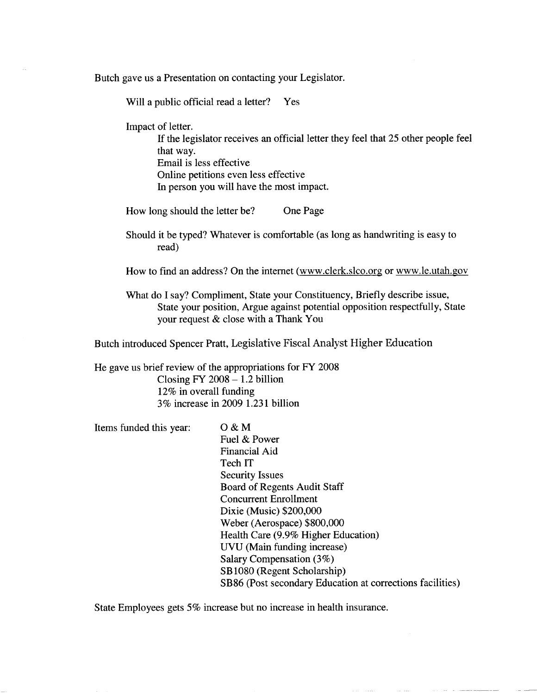Butch gave us a Presentation on contacting your Legislator.

Will a public official read a letter? Yes

Impact of letter.

If the legislator receives an official letter they feel that 25 other people feel that way. Email is less effective Online petitions even less effective In person you will have the most impact.

How long should the letter be? One Page

Should it be typed? Whatever is comfortable (as long as handwriting is easy to read)

How to find an address? On the internet (www.clerk.slco.org or www.le.utah.gov

What do I say? Compliment, State your Constituency, Briefly describe issue, State your position, Argue against potential opposition respectfully, State your request & close with a Thank You

Butch introduced Spencer Pratt, Legislative Fiscal Analyst Higher Education

He gave us brief review of the appropriations for FY 2008 Closing  $FY$  2008  $-1.2$  billion 12% in overall funding 3% increase in 2009 1.231 billion

Items funded this year: O & M

Fuel & Power Financial Aid Tech IT Security Issues Board of Regents Audit Staff Concurrent Enrollment Dixie (Music) \$200,000 Weber (Aerospace) \$800,000 Health Care (9.9% Higher Education) UVU (Main funding increase) Salary Compensation (3%) SB 1080 (Regent Scholarship) SB 86 (Post secondary Education at corrections facilities)

State Employees gets 5% increase but no increase in health insurance.